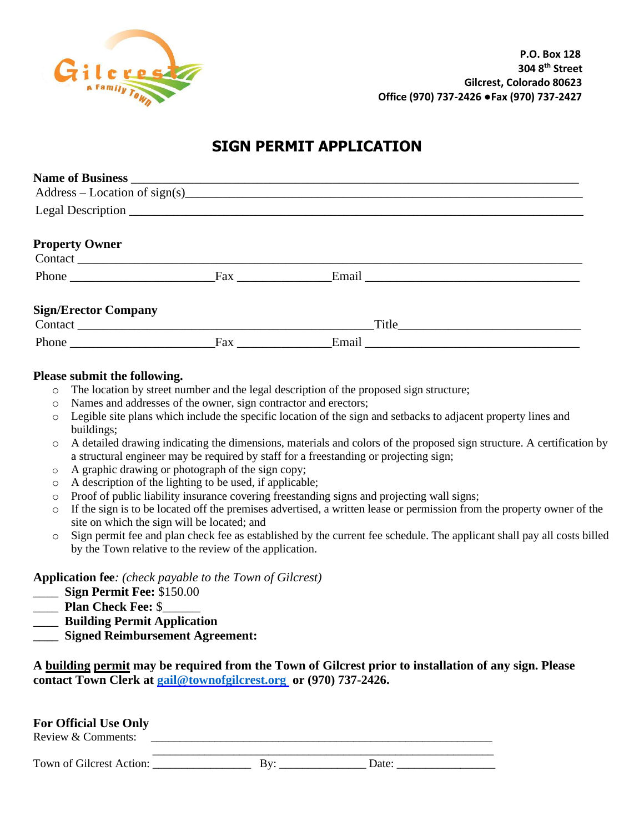

## **SIGN PERMIT APPLICATION**

|                                                                           |                                                                                                                                                                                                                                | $Address - Location of sign(s)$ |  |
|---------------------------------------------------------------------------|--------------------------------------------------------------------------------------------------------------------------------------------------------------------------------------------------------------------------------|---------------------------------|--|
|                                                                           |                                                                                                                                                                                                                                |                                 |  |
| <b>Property Owner</b>                                                     |                                                                                                                                                                                                                                |                                 |  |
|                                                                           |                                                                                                                                                                                                                                |                                 |  |
| <b>Sign/Erector Company</b>                                               |                                                                                                                                                                                                                                |                                 |  |
|                                                                           |                                                                                                                                                                                                                                |                                 |  |
| Phone $\frac{1}{\sqrt{1-\frac{1}{2}}\cdot\frac{1}{\sqrt{1-\frac{1}{2}}}}$ | Fax and the state of the state of the state of the state of the state of the state of the state of the state of the state of the state of the state of the state of the state of the state of the state of the state of the st |                                 |  |

## **Please submit the following.**

- $\circ$  The location by street number and the legal description of the proposed sign structure;
- o Names and addresses of the owner, sign contractor and erectors;
- o Legible site plans which include the specific location of the sign and setbacks to adjacent property lines and buildings;
- o A detailed drawing indicating the dimensions, materials and colors of the proposed sign structure. A certification by a structural engineer may be required by staff for a freestanding or projecting sign;
- o A graphic drawing or photograph of the sign copy;
- o A description of the lighting to be used, if applicable;
- $\circ$  Proof of public liability insurance covering freestanding signs and projecting wall signs;
- o If the sign is to be located off the premises advertised, a written lease or permission from the property owner of the site on which the sign will be located; and
- o Sign permit fee and plan check fee as established by the current fee schedule. The applicant shall pay all costs billed by the Town relative to the review of the application.

**Application fee***: (check payable to the Town of Gilcrest)* 

- \_\_\_\_ **Sign Permit Fee:** \$150.00
- \_\_\_\_ **Plan Check Fee:** \$\_\_\_\_\_\_
- \_\_\_\_ **Building Permit Application**
- **\_\_\_\_ Signed Reimbursement Agreement:**

| A building permit may be required from the Town of Gilcrest prior to installation of any sign. Please |  |
|-------------------------------------------------------------------------------------------------------|--|
| contact Town Clerk at gail@townofgilcrest.org or (970) 737-2426.                                      |  |

| <b>For Official Use Only</b><br>Review & Comments: |     |       |  |
|----------------------------------------------------|-----|-------|--|
| Town of Gilcrest Action:                           | Rv. | Date: |  |